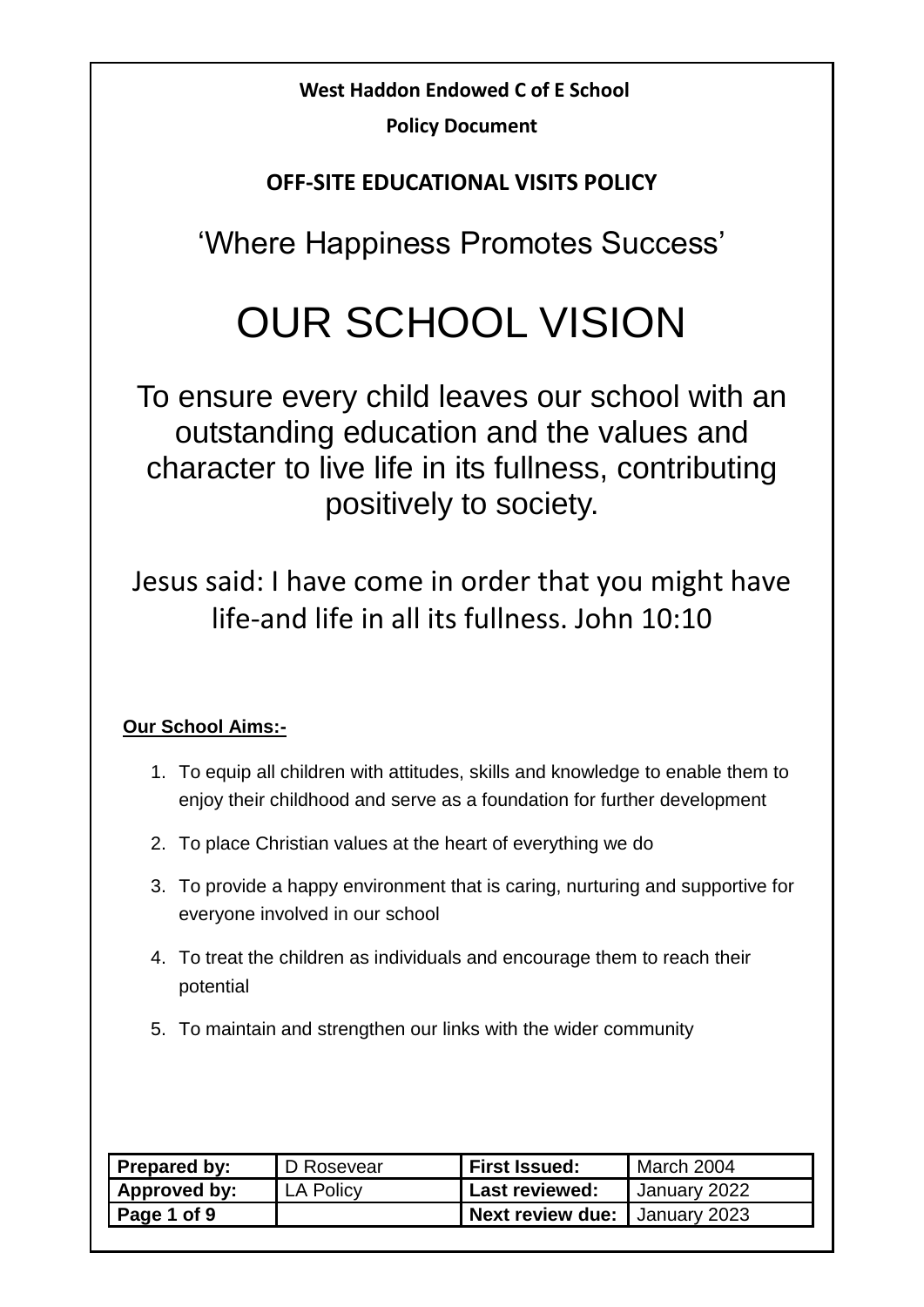## **West Haddon Endowed C of E School**

**Policy Document**

### **OFF-SITE EDUCATIONAL VISITS POLICY**

'Where Happiness Promotes Success'

# OUR SCHOOL VISION

To ensure every child leaves our school with an outstanding education and the values and character to live life in its fullness, contributing positively to society.

Jesus said: I have come in order that you might have life-and life in all its fullness. John 10:10

#### **Our School Aims:-**

- 1. To equip all children with attitudes, skills and knowledge to enable them to enjoy their childhood and serve as a foundation for further development
- 2. To place Christian values at the heart of everything we do
- 3. To provide a happy environment that is caring, nurturing and supportive for everyone involved in our school
- 4. To treat the children as individuals and encourage them to reach their potential
- 5. To maintain and strengthen our links with the wider community

| Prepared by: | D Rosevear | <b>First Issued:</b>          | March 2004   |
|--------------|------------|-------------------------------|--------------|
| Approved by: | LA Policy  | <b>Last reviewed:</b>         | January 2022 |
| Page 1 of 9  |            | Next review due: January 2023 |              |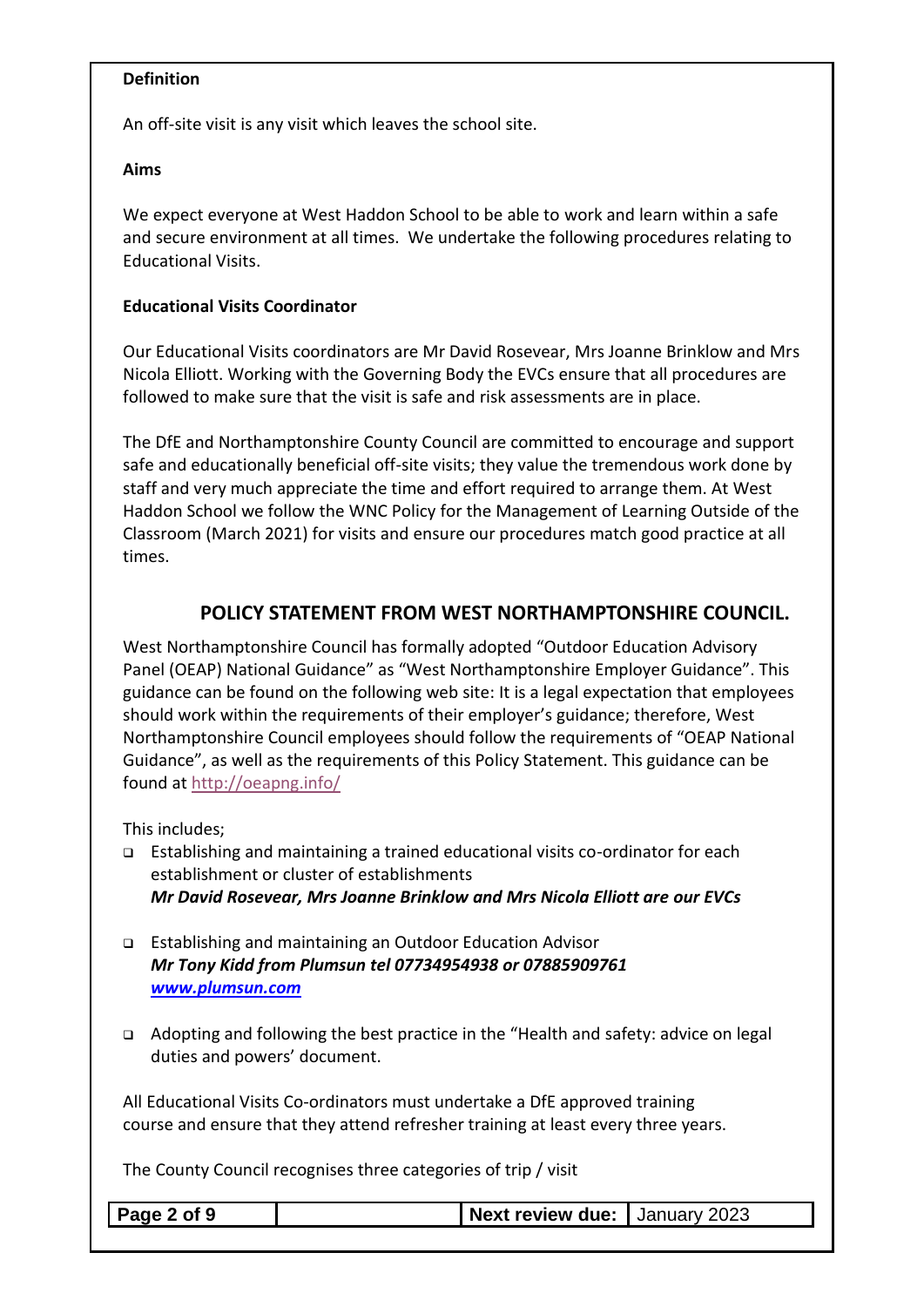#### **Definition**

An off-site visit is any visit which leaves the school site.

#### **Aims**

We expect everyone at West Haddon School to be able to work and learn within a safe and secure environment at all times. We undertake the following procedures relating to Educational Visits.

#### **Educational Visits Coordinator**

Our Educational Visits coordinators are Mr David Rosevear, Mrs Joanne Brinklow and Mrs Nicola Elliott. Working with the Governing Body the EVCs ensure that all procedures are followed to make sure that the visit is safe and risk assessments are in place.

The DfE and Northamptonshire County Council are committed to encourage and support safe and educationally beneficial off-site visits; they value the tremendous work done by staff and very much appreciate the time and effort required to arrange them. At West Haddon School we follow the WNC Policy for the Management of Learning Outside of the Classroom (March 2021) for visits and ensure our procedures match good practice at all times.

#### **POLICY STATEMENT FROM WEST NORTHAMPTONSHIRE COUNCIL.**

West Northamptonshire Council has formally adopted "Outdoor Education Advisory Panel (OEAP) National Guidance" as "West Northamptonshire Employer Guidance". This guidance can be found on the following web site: It is a legal expectation that employees should work within the requirements of their employer's guidance; therefore, West Northamptonshire Council employees should follow the requirements of "OEAP National Guidance", as well as the requirements of this Policy Statement. This guidance can be found at<http://oeapng.info/>

This includes;

- ❑ Establishing and maintaining a trained educational visits co-ordinator for each establishment or cluster of establishments *Mr David Rosevear, Mrs Joanne Brinklow and Mrs Nicola Elliott are our EVCs*
- ❑ Establishing and maintaining an Outdoor Education Advisor *Mr Tony Kidd from Plumsun tel 07734954938 or 07885909761 [www.plumsun.com](http://www.plumsun.com/)*
- ❑ Adopting and following the best practice in the "Health and safety: advice on legal duties and powers' document.

All Educational Visits Co-ordinators must undertake a DfE approved training course and ensure that they attend refresher training at least every three years.

The County Council recognises three categories of trip / visit

| $\vert$ Page 2 of 9 | <b>Next review due:   January 2023</b> |  |
|---------------------|----------------------------------------|--|
|                     |                                        |  |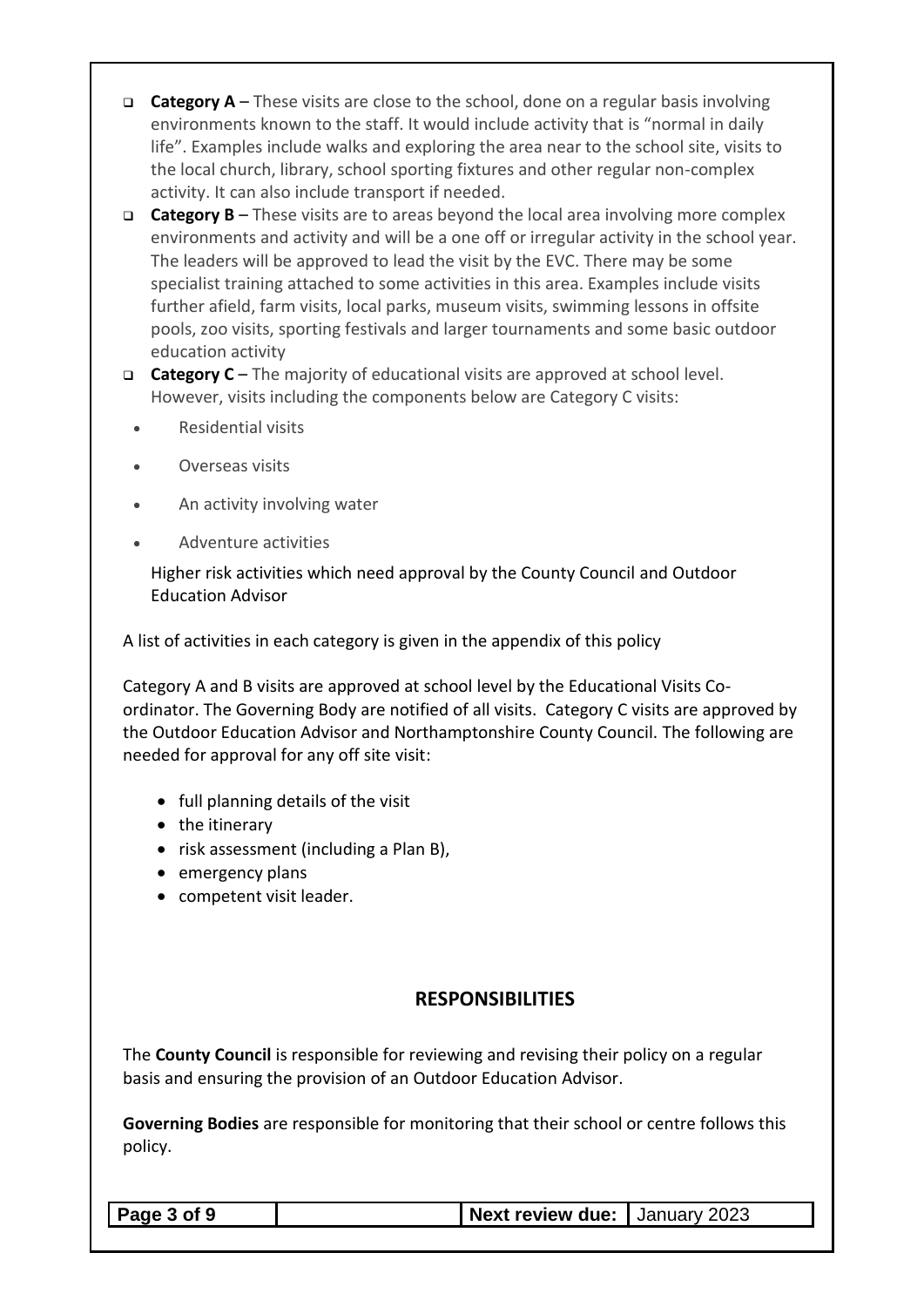- ❑ **Category A** These visits are close to the school, done on a regular basis involving environments known to the staff. It would include activity that is "normal in daily life". Examples include walks and exploring the area near to the school site, visits to the local church, library, school sporting fixtures and other regular non-complex activity. It can also include transport if needed.
- ❑ **Category B**  These visits are to areas beyond the local area involving more complex environments and activity and will be a one off or irregular activity in the school year. The leaders will be approved to lead the visit by the EVC. There may be some specialist training attached to some activities in this area. Examples include visits further afield, farm visits, local parks, museum visits, swimming lessons in offsite pools, zoo visits, sporting festivals and larger tournaments and some basic outdoor education activity
- ❑ **Category C**  The majority of educational visits are approved at school level. However, visits including the components below are Category C visits:
	- Residential visits
	- Overseas visits
	- An activity involving water
	- Adventure activities

Higher risk activities which need approval by the County Council and Outdoor Education Advisor

A list of activities in each category is given in the appendix of this policy

Category A and B visits are approved at school level by the Educational Visits Coordinator. The Governing Body are notified of all visits. Category C visits are approved by the Outdoor Education Advisor and Northamptonshire County Council. The following are needed for approval for any off site visit:

- full planning details of the visit
- the itinerary
- risk assessment (including a Plan B),
- emergency plans
- competent visit leader.

#### **RESPONSIBILITIES**

The **County Council** is responsible for reviewing and revising their policy on a regular basis and ensuring the provision of an Outdoor Education Advisor.

**Governing Bodies** are responsible for monitoring that their school or centre follows this policy.

| Page 3 of 9 |  |  |  |  |
|-------------|--|--|--|--|
|-------------|--|--|--|--|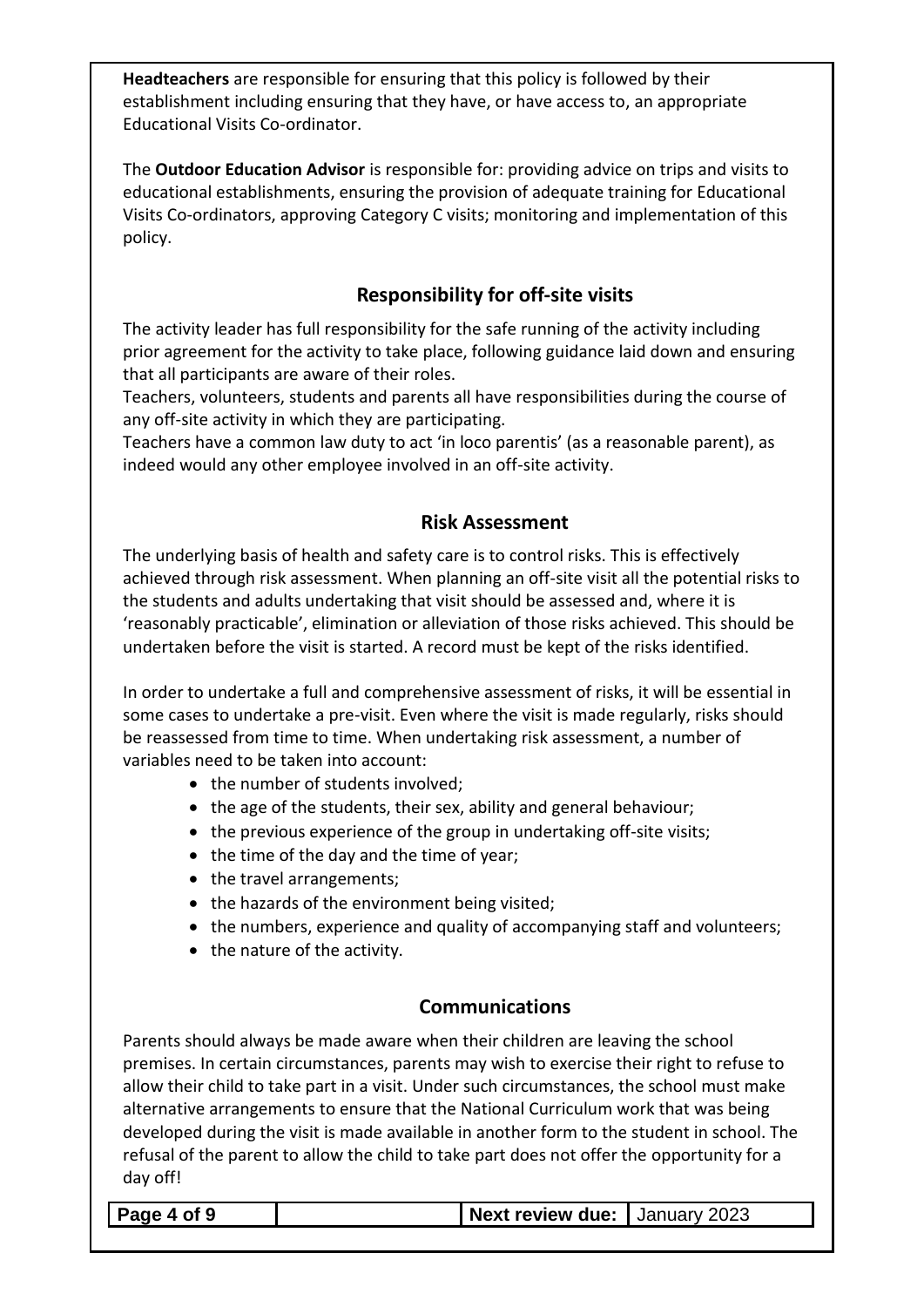**Headteachers** are responsible for ensuring that this policy is followed by their establishment including ensuring that they have, or have access to, an appropriate Educational Visits Co-ordinator.

The **Outdoor Education Advisor** is responsible for: providing advice on trips and visits to educational establishments, ensuring the provision of adequate training for Educational Visits Co-ordinators, approving Category C visits; monitoring and implementation of this policy.

#### **Responsibility for off-site visits**

The activity leader has full responsibility for the safe running of the activity including prior agreement for the activity to take place, following guidance laid down and ensuring that all participants are aware of their roles.

Teachers, volunteers, students and parents all have responsibilities during the course of any off-site activity in which they are participating.

Teachers have a common law duty to act 'in loco parentis' (as a reasonable parent), as indeed would any other employee involved in an off-site activity.

#### **Risk Assessment**

The underlying basis of health and safety care is to control risks. This is effectively achieved through risk assessment. When planning an off-site visit all the potential risks to the students and adults undertaking that visit should be assessed and, where it is 'reasonably practicable', elimination or alleviation of those risks achieved. This should be undertaken before the visit is started. A record must be kept of the risks identified.

In order to undertake a full and comprehensive assessment of risks, it will be essential in some cases to undertake a pre-visit. Even where the visit is made regularly, risks should be reassessed from time to time. When undertaking risk assessment, a number of variables need to be taken into account:

- the number of students involved;
- the age of the students, their sex, ability and general behaviour;
- the previous experience of the group in undertaking off-site visits;
- the time of the day and the time of year;
- the travel arrangements;
- the hazards of the environment being visited;
- the numbers, experience and quality of accompanying staff and volunteers;
- the nature of the activity.

#### **Communications**

Parents should always be made aware when their children are leaving the school premises. In certain circumstances, parents may wish to exercise their right to refuse to allow their child to take part in a visit. Under such circumstances, the school must make alternative arrangements to ensure that the National Curriculum work that was being developed during the visit is made available in another form to the student in school. The refusal of the parent to allow the child to take part does not offer the opportunity for a day off!

**Page 4 of 9 Next review due:** January 2023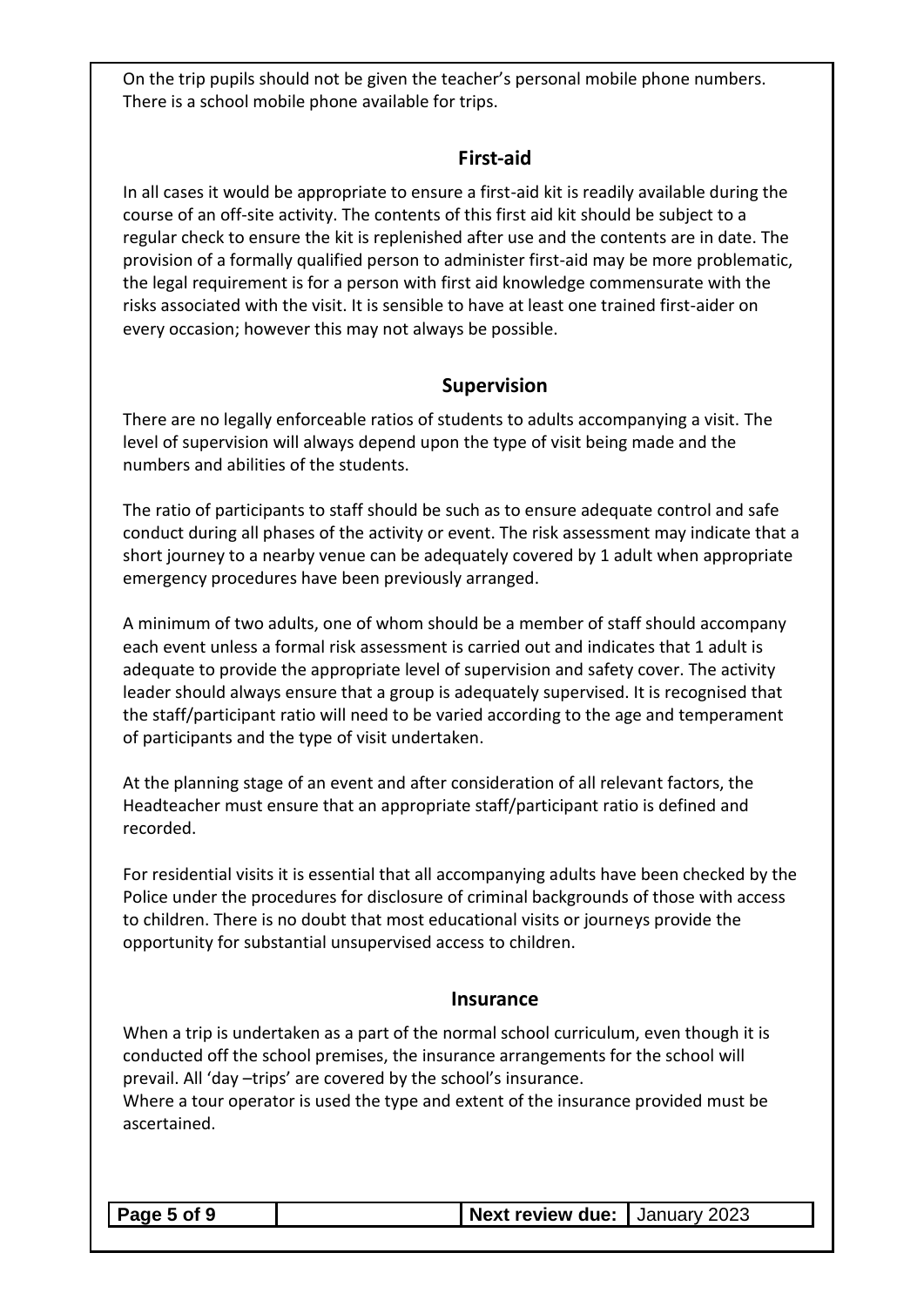On the trip pupils should not be given the teacher's personal mobile phone numbers. There is a school mobile phone available for trips.

#### **First-aid**

In all cases it would be appropriate to ensure a first-aid kit is readily available during the course of an off-site activity. The contents of this first aid kit should be subject to a regular check to ensure the kit is replenished after use and the contents are in date. The provision of a formally qualified person to administer first-aid may be more problematic, the legal requirement is for a person with first aid knowledge commensurate with the risks associated with the visit. It is sensible to have at least one trained first-aider on every occasion; however this may not always be possible.

#### **Supervision**

There are no legally enforceable ratios of students to adults accompanying a visit. The level of supervision will always depend upon the type of visit being made and the numbers and abilities of the students.

The ratio of participants to staff should be such as to ensure adequate control and safe conduct during all phases of the activity or event. The risk assessment may indicate that a short journey to a nearby venue can be adequately covered by 1 adult when appropriate emergency procedures have been previously arranged.

A minimum of two adults, one of whom should be a member of staff should accompany each event unless a formal risk assessment is carried out and indicates that 1 adult is adequate to provide the appropriate level of supervision and safety cover. The activity leader should always ensure that a group is adequately supervised. It is recognised that the staff/participant ratio will need to be varied according to the age and temperament of participants and the type of visit undertaken.

At the planning stage of an event and after consideration of all relevant factors, the Headteacher must ensure that an appropriate staff/participant ratio is defined and recorded.

For residential visits it is essential that all accompanying adults have been checked by the Police under the procedures for disclosure of criminal backgrounds of those with access to children. There is no doubt that most educational visits or journeys provide the opportunity for substantial unsupervised access to children.

#### **Insurance**

When a trip is undertaken as a part of the normal school curriculum, even though it is conducted off the school premises, the insurance arrangements for the school will prevail. All 'day –trips' are covered by the school's insurance. Where a tour operator is used the type and extent of the insurance provided must be ascertained.

#### **Page 5 of 9 Next review due:** January 2023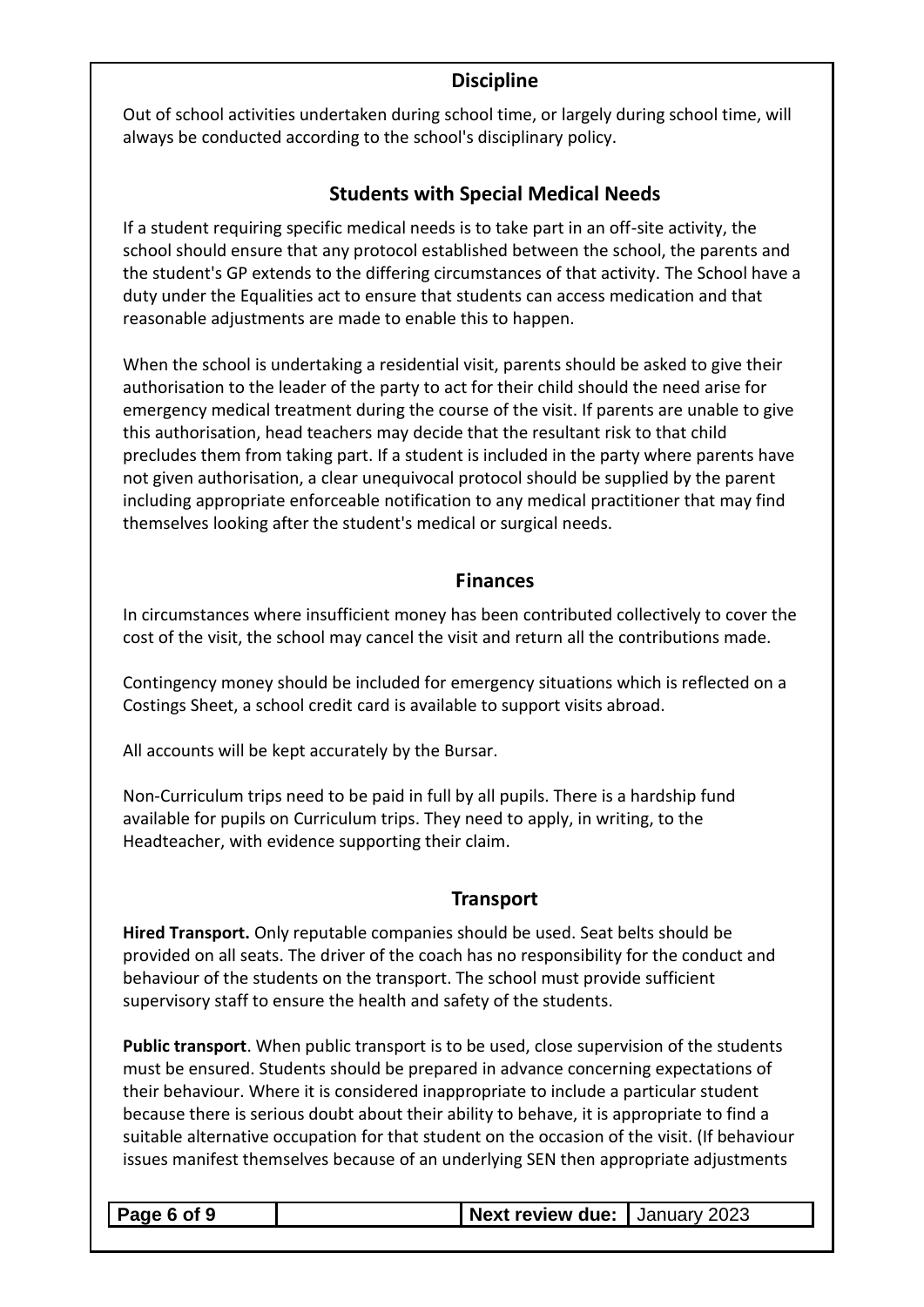#### **Discipline**

Out of school activities undertaken during school time, or largely during school time, will always be conducted according to the school's disciplinary policy.

#### **Students with Special Medical Needs**

If a student requiring specific medical needs is to take part in an off-site activity, the school should ensure that any protocol established between the school, the parents and the student's GP extends to the differing circumstances of that activity. The School have a duty under the Equalities act to ensure that students can access medication and that reasonable adjustments are made to enable this to happen.

When the school is undertaking a residential visit, parents should be asked to give their authorisation to the leader of the party to act for their child should the need arise for emergency medical treatment during the course of the visit. If parents are unable to give this authorisation, head teachers may decide that the resultant risk to that child precludes them from taking part. If a student is included in the party where parents have not given authorisation, a clear unequivocal protocol should be supplied by the parent including appropriate enforceable notification to any medical practitioner that may find themselves looking after the student's medical or surgical needs.

#### **Finances**

In circumstances where insufficient money has been contributed collectively to cover the cost of the visit, the school may cancel the visit and return all the contributions made.

Contingency money should be included for emergency situations which is reflected on a Costings Sheet, a school credit card is available to support visits abroad.

All accounts will be kept accurately by the Bursar.

Non-Curriculum trips need to be paid in full by all pupils. There is a hardship fund available for pupils on Curriculum trips. They need to apply, in writing, to the Headteacher, with evidence supporting their claim.

#### **Transport**

**Hired Transport.** Only reputable companies should be used. Seat belts should be provided on all seats. The driver of the coach has no responsibility for the conduct and behaviour of the students on the transport. The school must provide sufficient supervisory staff to ensure the health and safety of the students.

**Public transport**. When public transport is to be used, close supervision of the students must be ensured. Students should be prepared in advance concerning expectations of their behaviour. Where it is considered inappropriate to include a particular student because there is serious doubt about their ability to behave, it is appropriate to find a suitable alternative occupation for that student on the occasion of the visit. (If behaviour issues manifest themselves because of an underlying SEN then appropriate adjustments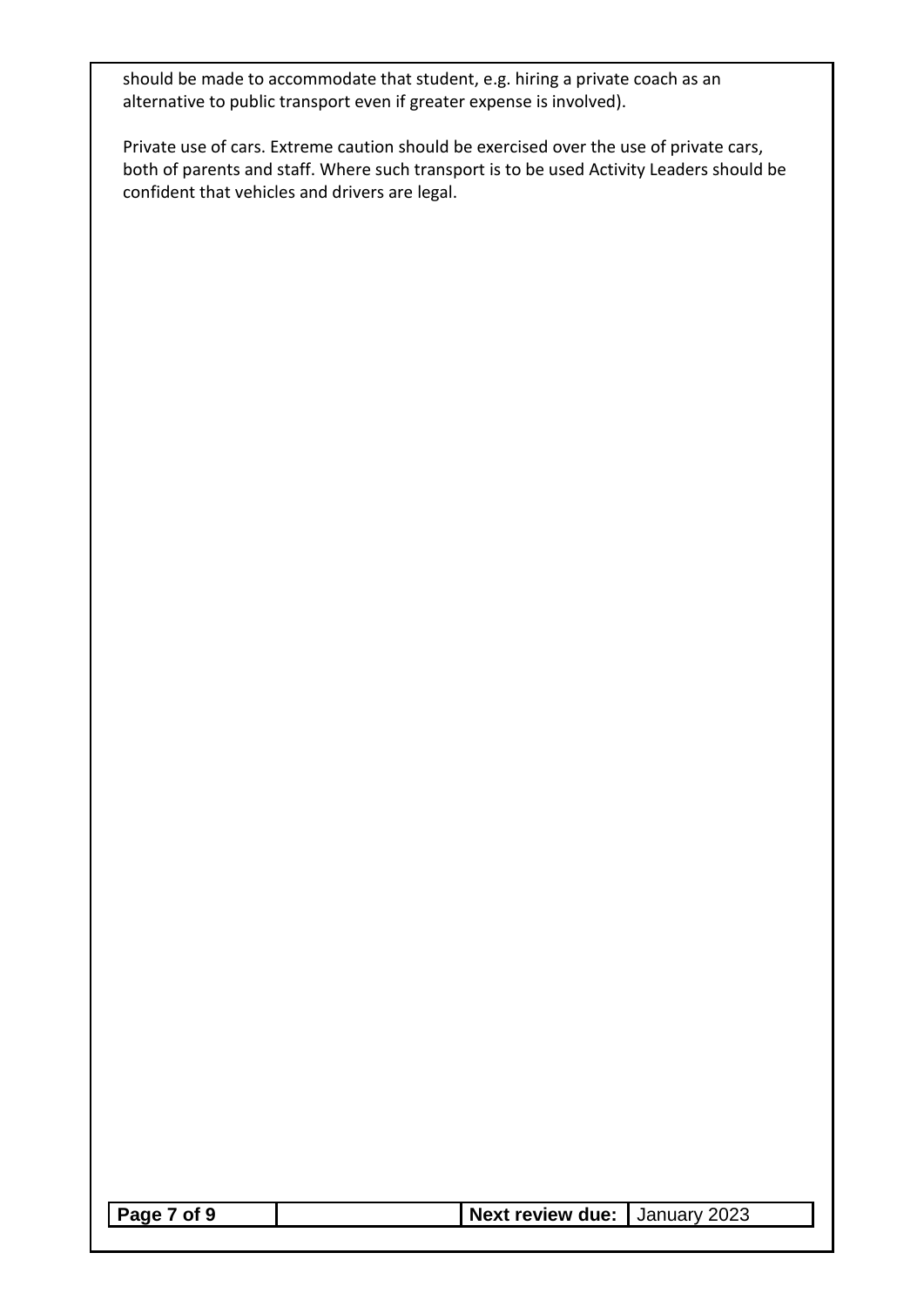should be made to accommodate that student, e.g. hiring a private coach as an alternative to public transport even if greater expense is involved).

Private use of cars. Extreme caution should be exercised over the use of private cars, both of parents and staff. Where such transport is to be used Activity Leaders should be confident that vehicles and drivers are legal.

| Page 7 of 9 | Next review due: January 2023 |  |
|-------------|-------------------------------|--|
|             |                               |  |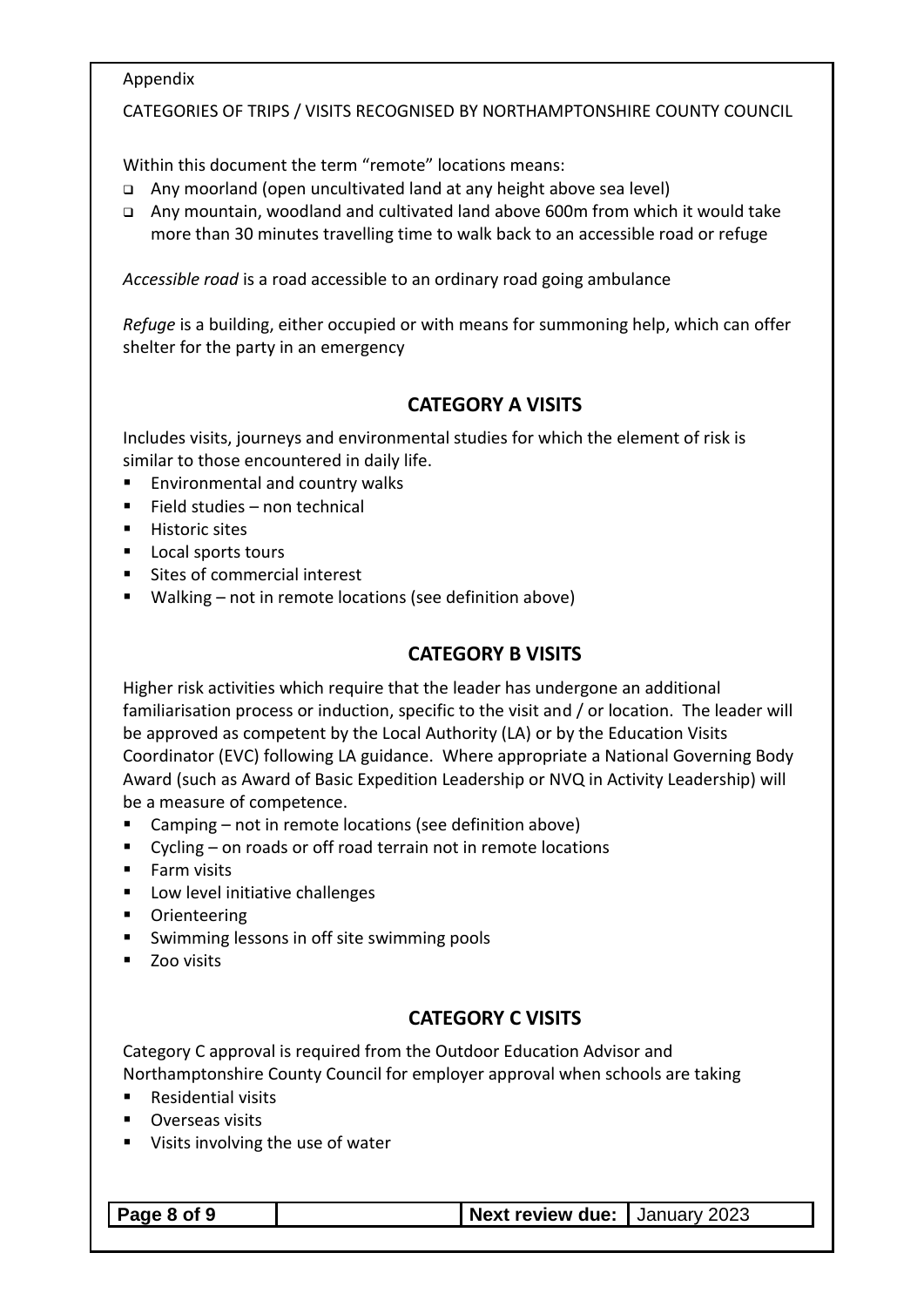#### Appendix

#### CATEGORIES OF TRIPS / VISITS RECOGNISED BY NORTHAMPTONSHIRE COUNTY COUNCIL

Within this document the term "remote" locations means:

- ❑ Any moorland (open uncultivated land at any height above sea level)
- ❑ Any mountain, woodland and cultivated land above 600m from which it would take more than 30 minutes travelling time to walk back to an accessible road or refuge

*Accessible road* is a road accessible to an ordinary road going ambulance

*Refuge* is a building, either occupied or with means for summoning help, which can offer shelter for the party in an emergency

#### **CATEGORY A VISITS**

Includes visits, journeys and environmental studies for which the element of risk is similar to those encountered in daily life.

- Environmental and country walks
- Field studies non technical
- Historic sites
- Local sports tours
- Sites of commercial interest
- Walking not in remote locations (see definition above)

#### **CATEGORY B VISITS**

Higher risk activities which require that the leader has undergone an additional familiarisation process or induction, specific to the visit and / or location. The leader will be approved as competent by the Local Authority (LA) or by the Education Visits Coordinator (EVC) following LA guidance. Where appropriate a National Governing Body Award (such as Award of Basic Expedition Leadership or NVQ in Activity Leadership) will be a measure of competence.

- Camping not in remote locations (see definition above)
- Cycling on roads or off road terrain not in remote locations
- Farm visits
- Low level initiative challenges
- Orienteering
- Swimming lessons in off site swimming pools
- Zoo visits

#### **CATEGORY C VISITS**

Category C approval is required from the Outdoor Education Advisor and Northamptonshire County Council for employer approval when schools are taking

- **Residential visits**
- Overseas visits
- Visits involving the use of water

#### **Page 8 of 9 Next review due:** January 2023